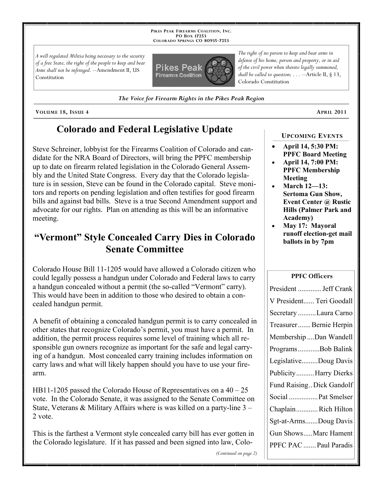**PIKES PEAK FIREARMS COALITION, INC. PO BOX 17253 COLORADO SPRINGS CO 80935 -7253**

*A well regulated Militia being necessary to the security of a free State, the right of the people to keep and bear Arms shall not be infringed.* --Amendment II, US Constitution



*The Voice for Firearm Rights in the Pikes Peak Region*

**VOLUME 18, ISSUE 4 APRIL 2011**

# **Colorado and Federal Legislative Update**

Steve Schreiner, lobbyist for the Firearms Coalition of Colorado and candidate for the NRA Board of Directors, will bring the PPFC membership up to date on firearm related legislation in the Colorado General Assembly and the United State Congress. Every day that the Colorado legislature is in session, Steve can be found in the Colorado capital. Steve monitors and reports on pending legislation and often testifies for good firearm bills and against bad bills. Steve is a true Second Amendment support and advocate for our rights. Plan on attending as this will be an informative meeting.

# **"Vermont" Style Concealed Carry Dies in Colorado Senate Committee**

Colorado House Bill 11-1205 would have allowed a Colorado citizen who could legally possess a handgun under Colorado and Federal laws to carry a handgun concealed without a permit (the so-called "Vermont" carry). This would have been in addition to those who desired to obtain a concealed handgun permit.

A benefit of obtaining a concealed handgun permit is to carry concealed in other states that recognize Colorado's permit, you must have a permit. In addition, the permit process requires some level of training which all responsible gun owners recognize as important for the safe and legal carrying of a handgun. Most concealed carry training includes information on carry laws and what will likely happen should you have to use your firearm.

HB11-1205 passed the Colorado House of Representatives on a 40 – 25 vote. In the Colorado Senate, it was assigned to the Senate Committee on State, Veterans & Military Affairs where is was killed on a party-line 3 – 2 vote.

This is the farthest a Vermont style concealed carry bill has ever gotten in the Colorado legislature. If it has passed and been signed into law, Colo-

*The right of no person to keep and bear arms in defense of his home, person and property, or in aid of the civil power when thereto legally summoned, shall be called to question; . . .* --Article II, § 13, Colorado Constitution

**UPCOMING EVENTS**

- **April 14, 5:30 PM: PPFC Board Meeting**
- **April 14, 7:00 PM: PPFC Membership Meeting**
- **March 12—13: Sertoma Gun Show, Event Center @ Rustic Hills (Palmer Park and Academy)**
- **May 17: Mayoral runoff election-get mail ballots in by 7pm**

#### **PPFC Officers**

| President  Jeff Crank     |
|---------------------------|
| V President Teri Goodall  |
| Secretary Laura Carno     |
| Treasurer Bernie Herpin   |
| Membership  Dan Wandell   |
| ProgramsBob Balink        |
| LegislativeDoug Davis     |
| Publicity Harry Dierks    |
| Fund Raising Dick Gandolf |
| Social  Pat Smelser       |
| ChaplainRich Hilton       |
| Sgt-at-ArmsDoug Davis     |
| Gun ShowsMarc Hament      |
| PPFC PAC  Paul Paradis    |

*(Continued on page 2)*